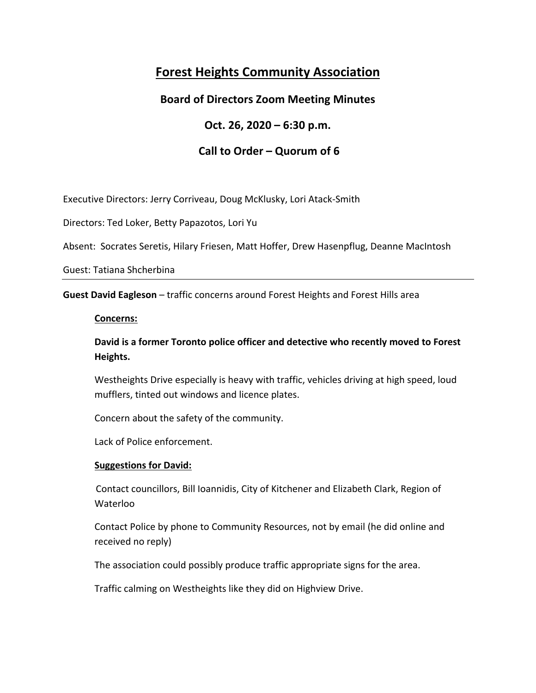# **Forest Heights Community Association**

# **Board of Directors Zoom Meeting Minutes**

## **Oct. 26, 2020 – 6:30 p.m.**

# **Call to Order – Quorum of 6**

Executive Directors: Jerry Corriveau, Doug McKlusky, Lori Atack‐Smith

Directors: Ted Loker, Betty Papazotos, Lori Yu

Absent: Socrates Seretis, Hilary Friesen, Matt Hoffer, Drew Hasenpflug, Deanne MacIntosh

Guest: Tatiana Shcherbina

**Guest David Eagleson** – traffic concerns around Forest Heights and Forest Hills area

#### **Concerns:**

**David is a former Toronto police officer and detective who recently moved to Forest Heights.** 

Westheights Drive especially is heavy with traffic, vehicles driving at high speed, loud mufflers, tinted out windows and licence plates.

Concern about the safety of the community.

Lack of Police enforcement.

#### **Suggestions for David:**

Contact councillors, Bill Ioannidis, City of Kitchener and Elizabeth Clark, Region of Waterloo

Contact Police by phone to Community Resources, not by email (he did online and received no reply)

The association could possibly produce traffic appropriate signs for the area.

Traffic calming on Westheights like they did on Highview Drive.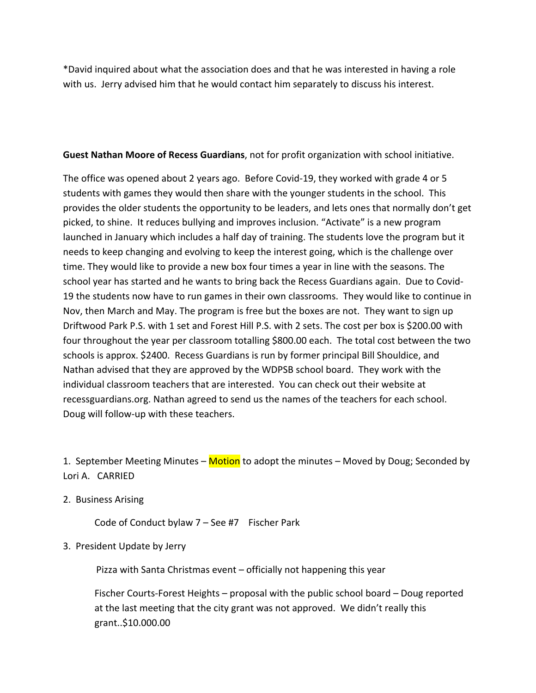\*David inquired about what the association does and that he was interested in having a role with us. Jerry advised him that he would contact him separately to discuss his interest.

#### **Guest Nathan Moore of Recess Guardians**, not for profit organization with school initiative.

The office was opened about 2 years ago. Before Covid-19, they worked with grade 4 or 5 students with games they would then share with the younger students in the school. This provides the older students the opportunity to be leaders, and lets ones that normally don't get picked, to shine. It reduces bullying and improves inclusion. "Activate" is a new program launched in January which includes a half day of training. The students love the program but it needs to keep changing and evolving to keep the interest going, which is the challenge over time. They would like to provide a new box four times a year in line with the seasons. The school year has started and he wants to bring back the Recess Guardians again. Due to Covid‐ 19 the students now have to run games in their own classrooms. They would like to continue in Nov, then March and May. The program is free but the boxes are not. They want to sign up Driftwood Park P.S. with 1 set and Forest Hill P.S. with 2 sets. The cost per box is \$200.00 with four throughout the year per classroom totalling \$800.00 each. The total cost between the two schools is approx. \$2400. Recess Guardians is run by former principal Bill Shouldice, and Nathan advised that they are approved by the WDPSB school board. They work with the individual classroom teachers that are interested. You can check out their website at recessguardians.org. Nathan agreed to send us the names of the teachers for each school. Doug will follow‐up with these teachers.

1. September Meeting Minutes – Motion to adopt the minutes – Moved by Doug; Seconded by Lori A. CARRIED

2. Business Arising

Code of Conduct bylaw  $7 -$  See #7 Fischer Park

#### 3. President Update by Jerry

Pizza with Santa Christmas event – officially not happening this year

Fischer Courts‐Forest Heights – proposal with the public school board – Doug reported at the last meeting that the city grant was not approved. We didn't really this grant..\$10.000.00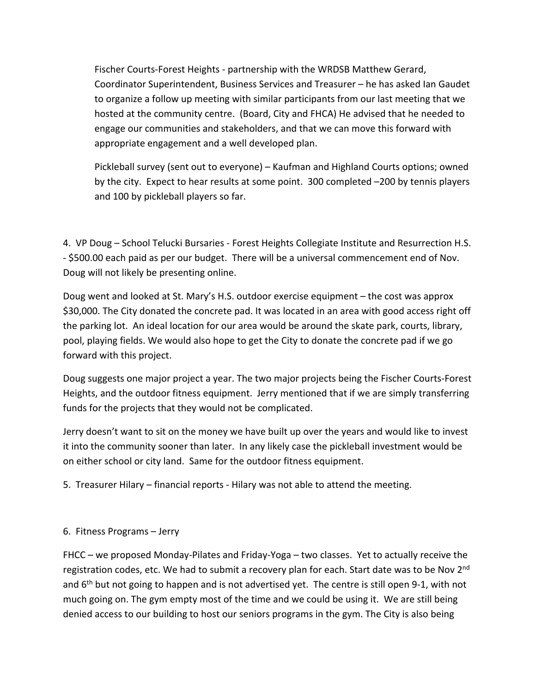Fischer Courts‐Forest Heights ‐ partnership with the WRDSB Matthew Gerard, Coordinator Superintendent, Business Services and Treasurer – he has asked Ian Gaudet to organize a follow up meeting with similar participants from our last meeting that we hosted at the community centre. (Board, City and FHCA) He advised that he needed to engage our communities and stakeholders, and that we can move this forward with appropriate engagement and a well developed plan.

Pickleball survey (sent out to everyone) – Kaufman and Highland Courts options; owned by the city. Expect to hear results at some point. 300 completed –200 by tennis players and 100 by pickleball players so far.

4. VP Doug – School Telucki Bursaries ‐ Forest Heights Collegiate Institute and Resurrection H.S. ‐ \$500.00 each paid as per our budget. There will be a universal commencement end of Nov. Doug will not likely be presenting online.

Doug went and looked at St. Mary's H.S. outdoor exercise equipment – the cost was approx \$30,000. The City donated the concrete pad. It was located in an area with good access right off the parking lot. An ideal location for our area would be around the skate park, courts, library, pool, playing fields. We would also hope to get the City to donate the concrete pad if we go forward with this project.

Doug suggests one major project a year. The two major projects being the Fischer Courts‐Forest Heights, and the outdoor fitness equipment. Jerry mentioned that if we are simply transferring funds for the projects that they would not be complicated.

Jerry doesn't want to sit on the money we have built up over the years and would like to invest it into the community sooner than later. In any likely case the pickleball investment would be on either school or city land. Same for the outdoor fitness equipment.

5. Treasurer Hilary – financial reports ‐ Hilary was not able to attend the meeting.

### 6. Fitness Programs – Jerry

FHCC – we proposed Monday‐Pilates and Friday‐Yoga – two classes. Yet to actually receive the registration codes, etc. We had to submit a recovery plan for each. Start date was to be Nov 2<sup>nd</sup> and  $6<sup>th</sup>$  but not going to happen and is not advertised yet. The centre is still open 9-1, with not much going on. The gym empty most of the time and we could be using it. We are still being denied access to our building to host our seniors programs in the gym. The City is also being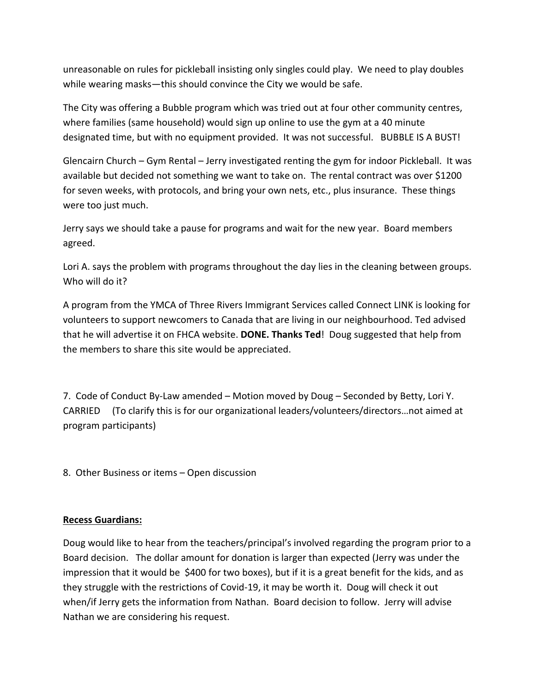unreasonable on rules for pickleball insisting only singles could play. We need to play doubles while wearing masks—this should convince the City we would be safe.

The City was offering a Bubble program which was tried out at four other community centres, where families (same household) would sign up online to use the gym at a 40 minute designated time, but with no equipment provided. It was not successful. BUBBLE IS A BUST!

Glencairn Church – Gym Rental – Jerry investigated renting the gym for indoor Pickleball. It was available but decided not something we want to take on. The rental contract was over \$1200 for seven weeks, with protocols, and bring your own nets, etc., plus insurance. These things were too just much.

Jerry says we should take a pause for programs and wait for the new year. Board members agreed.

Lori A. says the problem with programs throughout the day lies in the cleaning between groups. Who will do it?

A program from the YMCA of Three Rivers Immigrant Services called Connect LINK is looking for volunteers to support newcomers to Canada that are living in our neighbourhood. Ted advised that he will advertise it on FHCA website. **DONE. Thanks Ted**! Doug suggested that help from the members to share this site would be appreciated.

7. Code of Conduct By‐Law amended – Motion moved by Doug – Seconded by Betty, Lori Y. CARRIED (To clarify this is for our organizational leaders/volunteers/directors…not aimed at program participants)

8. Other Business or items – Open discussion

#### **Recess Guardians:**

Doug would like to hear from the teachers/principal's involved regarding the program prior to a Board decision. The dollar amount for donation is larger than expected (Jerry was under the impression that it would be \$400 for two boxes), but if it is a great benefit for the kids, and as they struggle with the restrictions of Covid‐19, it may be worth it. Doug will check it out when/if Jerry gets the information from Nathan. Board decision to follow. Jerry will advise Nathan we are considering his request.